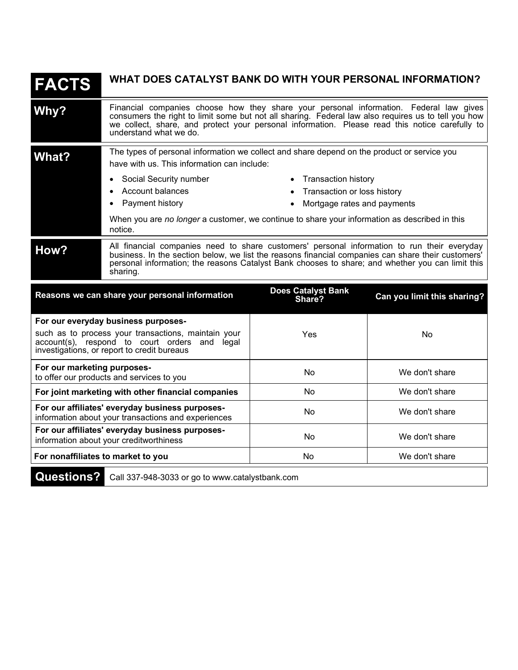| <b>FACTS</b>                                                                                                                                                                               | WHAT DOES CATALYST BANK DO WITH YOUR PERSONAL INFORMATION?                                                                                                                                                                                                                                                        |                                                                                     |                             |  |
|--------------------------------------------------------------------------------------------------------------------------------------------------------------------------------------------|-------------------------------------------------------------------------------------------------------------------------------------------------------------------------------------------------------------------------------------------------------------------------------------------------------------------|-------------------------------------------------------------------------------------|-----------------------------|--|
| Why?                                                                                                                                                                                       | Financial companies choose how they share your personal information. Federal law gives consumers the right to limit some but not all sharing. Federal law also requires us to tell you how we collect, share, and protect your<br>understand what we do.                                                          |                                                                                     |                             |  |
| What?                                                                                                                                                                                      | The types of personal information we collect and share depend on the product or service you<br>have with us. This information can include:                                                                                                                                                                        |                                                                                     |                             |  |
|                                                                                                                                                                                            | Social Security number<br>$\bullet$<br>Account balances<br>Payment history                                                                                                                                                                                                                                        | • Transaction history<br>Transaction or loss history<br>Mortgage rates and payments |                             |  |
|                                                                                                                                                                                            | When you are no longer a customer, we continue to share your information as described in this<br>notice.                                                                                                                                                                                                          |                                                                                     |                             |  |
| How?                                                                                                                                                                                       | All financial companies need to share customers' personal information to run their everyday<br>business. In the section below, we list the reasons financial companies can share their customers'<br>personal information; the reasons Catalyst Bank chooses to share; and whether you can limit this<br>sharing. |                                                                                     |                             |  |
|                                                                                                                                                                                            | Reasons we can share your personal information                                                                                                                                                                                                                                                                    | <b>Does Catalyst Bank</b><br>Share?                                                 | Can you limit this sharing? |  |
| For our everyday business purposes-<br>such as to process your transactions, maintain your<br>account(s), respond to court orders and legal<br>investigations, or report to credit bureaus |                                                                                                                                                                                                                                                                                                                   | Yes                                                                                 | No                          |  |
| For our marketing purposes-<br>to offer our products and services to you                                                                                                                   |                                                                                                                                                                                                                                                                                                                   | No                                                                                  | We don't share              |  |
| For joint marketing with other financial companies                                                                                                                                         |                                                                                                                                                                                                                                                                                                                   | No                                                                                  | We don't share              |  |
| For our affiliates' everyday business purposes-<br>information about your transactions and experiences                                                                                     |                                                                                                                                                                                                                                                                                                                   | No                                                                                  | We don't share              |  |
| For our affiliates' everyday business purposes-<br>information about your creditworthiness                                                                                                 |                                                                                                                                                                                                                                                                                                                   | No                                                                                  | We don't share              |  |
| For nonaffiliates to market to you                                                                                                                                                         |                                                                                                                                                                                                                                                                                                                   | <b>No</b>                                                                           | We don't share              |  |
|                                                                                                                                                                                            | Questions? Call 337-948-3033 or go to www.catalystbank.com                                                                                                                                                                                                                                                        |                                                                                     |                             |  |